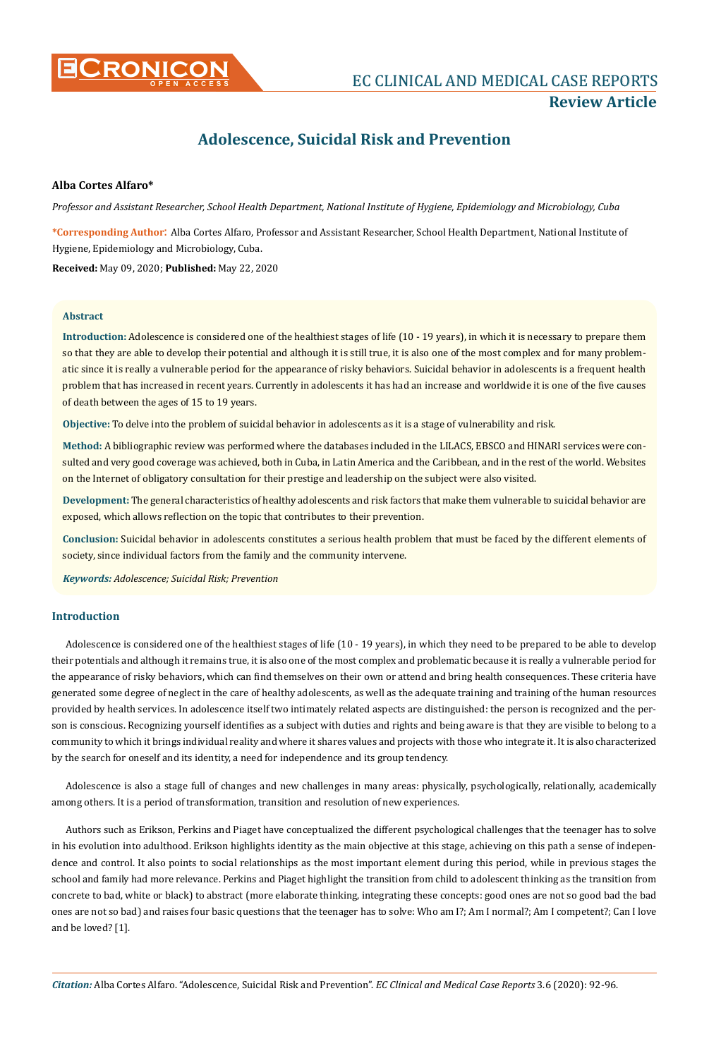

# **EC CLINICAL AND MEDICAL CASE REPORTS Review Article**

# **Adolescence, Suicidal Risk and Prevention**

# **Alba Cortes Alfaro\***

*Professor and Assistant Researcher, School Health Department, National Institute of Hygiene, Epidemiology and Microbiology, Cuba*

**\*Corresponding Author**: Alba Cortes Alfaro, Professor and Assistant Researcher, School Health Department, National Institute of Hygiene, Epidemiology and Microbiology, Cuba.

**Received:** May 09, 2020; **Published:** May 22, 2020

## **Abstract**

**Introduction:** Adolescence is considered one of the healthiest stages of life (10 - 19 years), in which it is necessary to prepare them so that they are able to develop their potential and although it is still true, it is also one of the most complex and for many problematic since it is really a vulnerable period for the appearance of risky behaviors. Suicidal behavior in adolescents is a frequent health problem that has increased in recent years. Currently in adolescents it has had an increase and worldwide it is one of the five causes of death between the ages of 15 to 19 years.

**Objective:** To delve into the problem of suicidal behavior in adolescents as it is a stage of vulnerability and risk.

**Method:** A bibliographic review was performed where the databases included in the LILACS, EBSCO and HINARI services were consulted and very good coverage was achieved, both in Cuba, in Latin America and the Caribbean, and in the rest of the world. Websites on the Internet of obligatory consultation for their prestige and leadership on the subject were also visited.

**Development:** The general characteristics of healthy adolescents and risk factors that make them vulnerable to suicidal behavior are exposed, which allows reflection on the topic that contributes to their prevention.

**Conclusion:** Suicidal behavior in adolescents constitutes a serious health problem that must be faced by the different elements of society, since individual factors from the family and the community intervene.

*Keywords: Adolescence; Suicidal Risk; Prevention*

## **Introduction**

Adolescence is considered one of the healthiest stages of life (10 - 19 years), in which they need to be prepared to be able to develop their potentials and although it remains true, it is also one of the most complex and problematic because it is really a vulnerable period for the appearance of risky behaviors, which can find themselves on their own or attend and bring health consequences. These criteria have generated some degree of neglect in the care of healthy adolescents, as well as the adequate training and training of the human resources provided by health services. In adolescence itself two intimately related aspects are distinguished: the person is recognized and the person is conscious. Recognizing yourself identifies as a subject with duties and rights and being aware is that they are visible to belong to a community to which it brings individual reality and where it shares values and projects with those who integrate it. It is also characterized by the search for oneself and its identity, a need for independence and its group tendency.

Adolescence is also a stage full of changes and new challenges in many areas: physically, psychologically, relationally, academically among others. It is a period of transformation, transition and resolution of new experiences.

Authors such as Erikson, Perkins and Piaget have conceptualized the different psychological challenges that the teenager has to solve in his evolution into adulthood. Erikson highlights identity as the main objective at this stage, achieving on this path a sense of independence and control. It also points to social relationships as the most important element during this period, while in previous stages the school and family had more relevance. Perkins and Piaget highlight the transition from child to adolescent thinking as the transition from concrete to bad, white or black) to abstract (more elaborate thinking, integrating these concepts: good ones are not so good bad the bad ones are not so bad) and raises four basic questions that the teenager has to solve: Who am I?; Am I normal?; Am I competent?; Can I love and be loved? [1].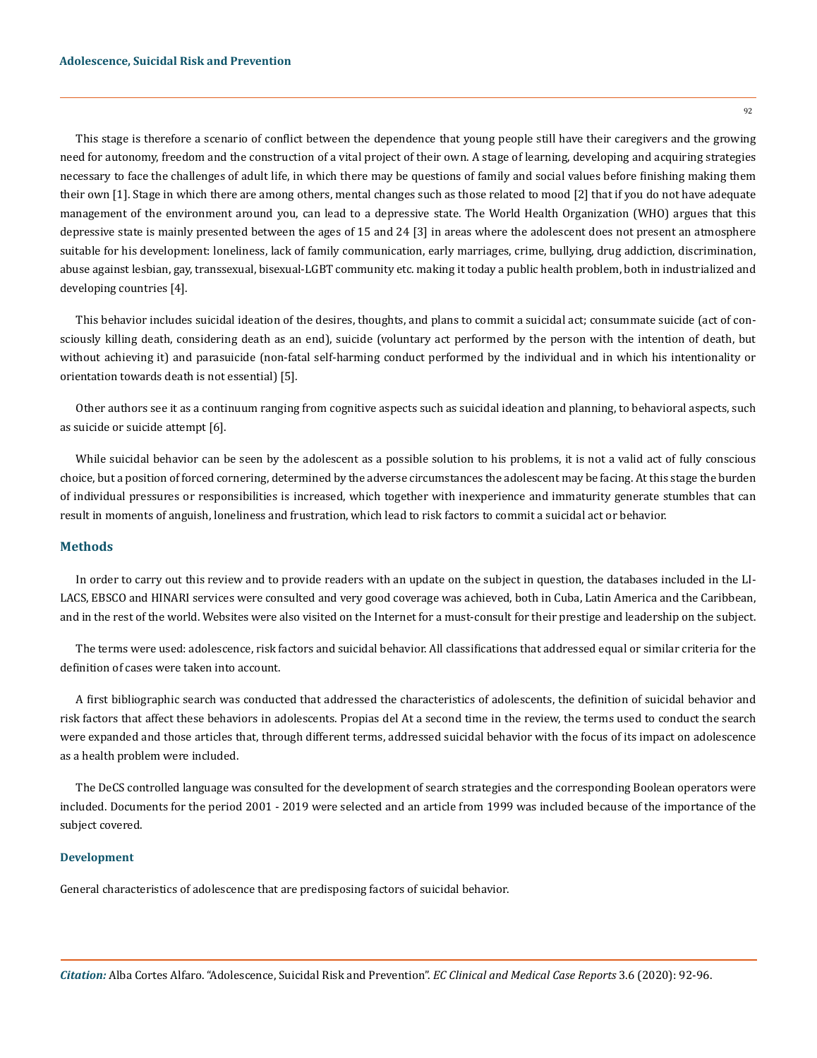This stage is therefore a scenario of conflict between the dependence that young people still have their caregivers and the growing need for autonomy, freedom and the construction of a vital project of their own. A stage of learning, developing and acquiring strategies necessary to face the challenges of adult life, in which there may be questions of family and social values before finishing making them their own [1]. Stage in which there are among others, mental changes such as those related to mood [2] that if you do not have adequate management of the environment around you, can lead to a depressive state. The World Health Organization (WHO) argues that this depressive state is mainly presented between the ages of 15 and 24 [3] in areas where the adolescent does not present an atmosphere suitable for his development: loneliness, lack of family communication, early marriages, crime, bullying, drug addiction, discrimination, abuse against lesbian, gay, transsexual, bisexual-LGBT community etc. making it today a public health problem, both in industrialized and developing countries [4].

This behavior includes suicidal ideation of the desires, thoughts, and plans to commit a suicidal act; consummate suicide (act of consciously killing death, considering death as an end), suicide (voluntary act performed by the person with the intention of death, but without achieving it) and parasuicide (non-fatal self-harming conduct performed by the individual and in which his intentionality or orientation towards death is not essential) [5].

Other authors see it as a continuum ranging from cognitive aspects such as suicidal ideation and planning, to behavioral aspects, such as suicide or suicide attempt [6].

While suicidal behavior can be seen by the adolescent as a possible solution to his problems, it is not a valid act of fully conscious choice, but a position of forced cornering, determined by the adverse circumstances the adolescent may be facing. At this stage the burden of individual pressures or responsibilities is increased, which together with inexperience and immaturity generate stumbles that can result in moments of anguish, loneliness and frustration, which lead to risk factors to commit a suicidal act or behavior.

#### **Methods**

In order to carry out this review and to provide readers with an update on the subject in question, the databases included in the LI-LACS, EBSCO and HINARI services were consulted and very good coverage was achieved, both in Cuba, Latin America and the Caribbean, and in the rest of the world. Websites were also visited on the Internet for a must-consult for their prestige and leadership on the subject.

The terms were used: adolescence, risk factors and suicidal behavior. All classifications that addressed equal or similar criteria for the definition of cases were taken into account.

A first bibliographic search was conducted that addressed the characteristics of adolescents, the definition of suicidal behavior and risk factors that affect these behaviors in adolescents. Propias del At a second time in the review, the terms used to conduct the search were expanded and those articles that, through different terms, addressed suicidal behavior with the focus of its impact on adolescence as a health problem were included.

The DeCS controlled language was consulted for the development of search strategies and the corresponding Boolean operators were included. Documents for the period 2001 - 2019 were selected and an article from 1999 was included because of the importance of the subject covered.

### **Development**

General characteristics of adolescence that are predisposing factors of suicidal behavior.

92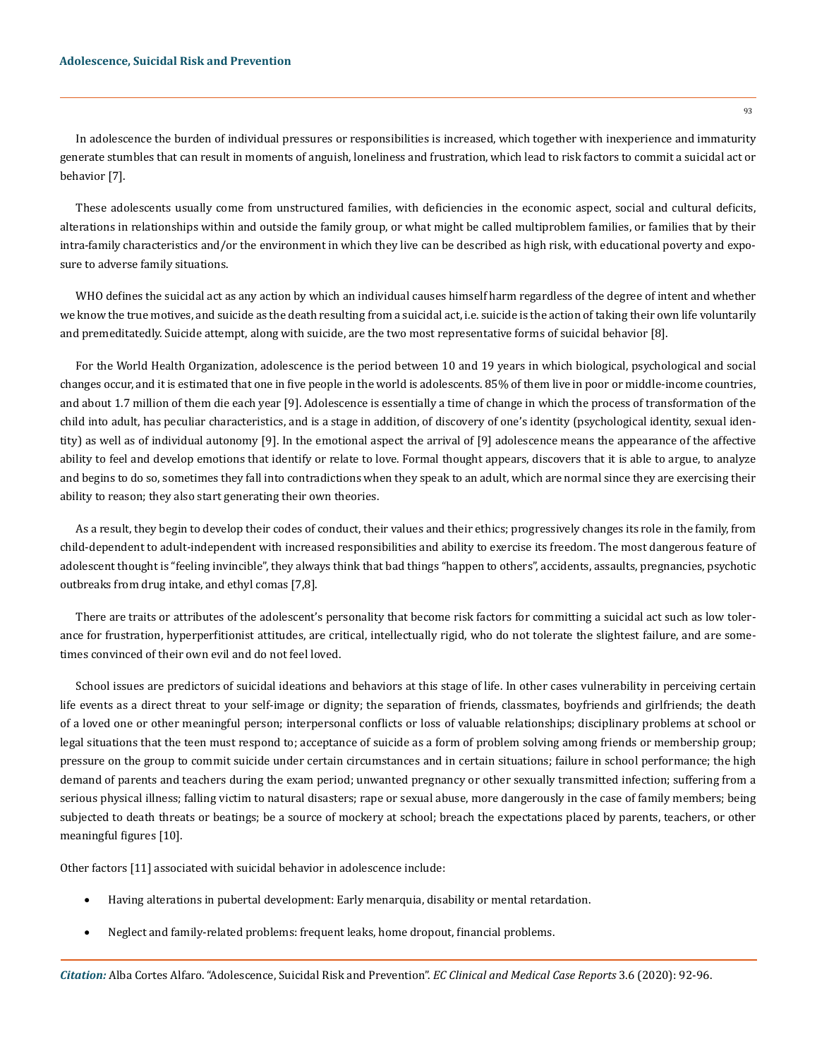In adolescence the burden of individual pressures or responsibilities is increased, which together with inexperience and immaturity generate stumbles that can result in moments of anguish, loneliness and frustration, which lead to risk factors to commit a suicidal act or behavior [7].

These adolescents usually come from unstructured families, with deficiencies in the economic aspect, social and cultural deficits, alterations in relationships within and outside the family group, or what might be called multiproblem families, or families that by their intra-family characteristics and/or the environment in which they live can be described as high risk, with educational poverty and exposure to adverse family situations.

WHO defines the suicidal act as any action by which an individual causes himself harm regardless of the degree of intent and whether we know the true motives, and suicide as the death resulting from a suicidal act, i.e. suicide is the action of taking their own life voluntarily and premeditatedly. Suicide attempt, along with suicide, are the two most representative forms of suicidal behavior [8].

For the World Health Organization, adolescence is the period between 10 and 19 years in which biological, psychological and social changes occur, and it is estimated that one in five people in the world is adolescents. 85% of them live in poor or middle-income countries, and about 1.7 million of them die each year [9]. Adolescence is essentially a time of change in which the process of transformation of the child into adult, has peculiar characteristics, and is a stage in addition, of discovery of one's identity (psychological identity, sexual identity) as well as of individual autonomy [9]. In the emotional aspect the arrival of [9] adolescence means the appearance of the affective ability to feel and develop emotions that identify or relate to love. Formal thought appears, discovers that it is able to argue, to analyze and begins to do so, sometimes they fall into contradictions when they speak to an adult, which are normal since they are exercising their ability to reason; they also start generating their own theories.

As a result, they begin to develop their codes of conduct, their values and their ethics; progressively changes its role in the family, from child-dependent to adult-independent with increased responsibilities and ability to exercise its freedom. The most dangerous feature of adolescent thought is "feeling invincible", they always think that bad things "happen to others", accidents, assaults, pregnancies, psychotic outbreaks from drug intake, and ethyl comas [7,8].

There are traits or attributes of the adolescent's personality that become risk factors for committing a suicidal act such as low tolerance for frustration, hyperperfitionist attitudes, are critical, intellectually rigid, who do not tolerate the slightest failure, and are sometimes convinced of their own evil and do not feel loved.

School issues are predictors of suicidal ideations and behaviors at this stage of life. In other cases vulnerability in perceiving certain life events as a direct threat to your self-image or dignity; the separation of friends, classmates, boyfriends and girlfriends; the death of a loved one or other meaningful person; interpersonal conflicts or loss of valuable relationships; disciplinary problems at school or legal situations that the teen must respond to; acceptance of suicide as a form of problem solving among friends or membership group; pressure on the group to commit suicide under certain circumstances and in certain situations; failure in school performance; the high demand of parents and teachers during the exam period; unwanted pregnancy or other sexually transmitted infection; suffering from a serious physical illness; falling victim to natural disasters; rape or sexual abuse, more dangerously in the case of family members; being subjected to death threats or beatings; be a source of mockery at school; breach the expectations placed by parents, teachers, or other meaningful figures [10].

Other factors [11] associated with suicidal behavior in adolescence include:

- Having alterations in pubertal development: Early menarquia, disability or mental retardation.
- Neglect and family-related problems: frequent leaks, home dropout, financial problems.

93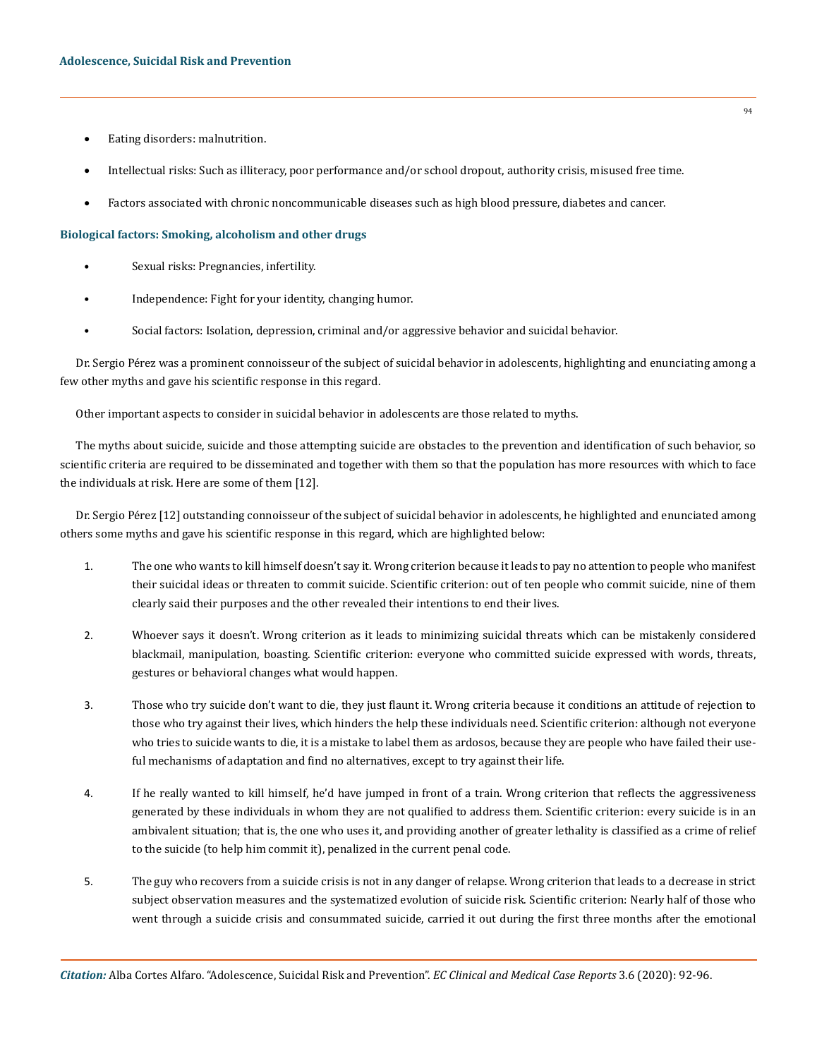- Eating disorders: malnutrition.
- Intellectual risks: Such as illiteracy, poor performance and/or school dropout, authority crisis, misused free time.
- Factors associated with chronic noncommunicable diseases such as high blood pressure, diabetes and cancer.

### **Biological factors: Smoking, alcoholism and other drugs**

- Sexual risks: Pregnancies, infertility.
- Independence: Fight for your identity, changing humor.
- Social factors: Isolation, depression, criminal and/or aggressive behavior and suicidal behavior.

Dr. Sergio Pérez was a prominent connoisseur of the subject of suicidal behavior in adolescents, highlighting and enunciating among a few other myths and gave his scientific response in this regard.

Other important aspects to consider in suicidal behavior in adolescents are those related to myths.

The myths about suicide, suicide and those attempting suicide are obstacles to the prevention and identification of such behavior, so scientific criteria are required to be disseminated and together with them so that the population has more resources with which to face the individuals at risk. Here are some of them [12].

Dr. Sergio Pérez [12] outstanding connoisseur of the subject of suicidal behavior in adolescents, he highlighted and enunciated among others some myths and gave his scientific response in this regard, which are highlighted below:

- 1. The one who wants to kill himself doesn't say it. Wrong criterion because it leads to pay no attention to people who manifest their suicidal ideas or threaten to commit suicide. Scientific criterion: out of ten people who commit suicide, nine of them clearly said their purposes and the other revealed their intentions to end their lives.
- 2. Whoever says it doesn't. Wrong criterion as it leads to minimizing suicidal threats which can be mistakenly considered blackmail, manipulation, boasting. Scientific criterion: everyone who committed suicide expressed with words, threats, gestures or behavioral changes what would happen.
- 3. Those who try suicide don't want to die, they just flaunt it. Wrong criteria because it conditions an attitude of rejection to those who try against their lives, which hinders the help these individuals need. Scientific criterion: although not everyone who tries to suicide wants to die, it is a mistake to label them as ardosos, because they are people who have failed their useful mechanisms of adaptation and find no alternatives, except to try against their life.
- 4. If he really wanted to kill himself, he'd have jumped in front of a train. Wrong criterion that reflects the aggressiveness generated by these individuals in whom they are not qualified to address them. Scientific criterion: every suicide is in an ambivalent situation; that is, the one who uses it, and providing another of greater lethality is classified as a crime of relief to the suicide (to help him commit it), penalized in the current penal code.
- 5. The guy who recovers from a suicide crisis is not in any danger of relapse. Wrong criterion that leads to a decrease in strict subject observation measures and the systematized evolution of suicide risk. Scientific criterion: Nearly half of those who went through a suicide crisis and consummated suicide, carried it out during the first three months after the emotional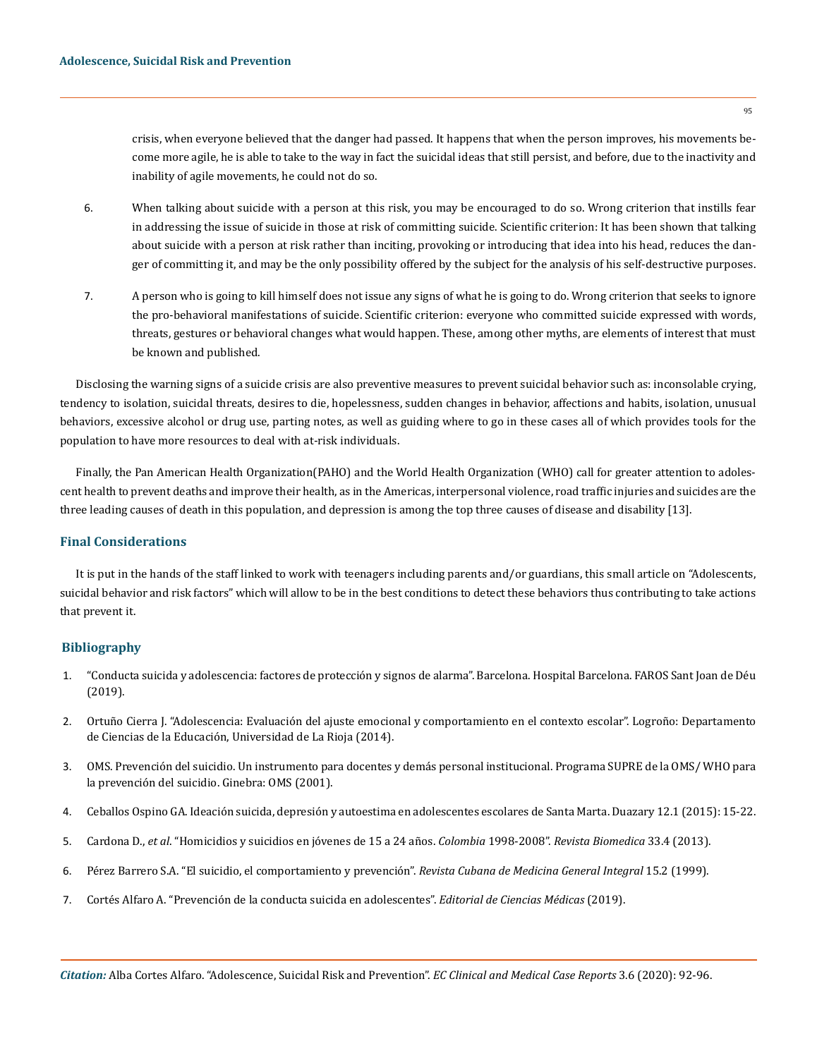crisis, when everyone believed that the danger had passed. It happens that when the person improves, his movements become more agile, he is able to take to the way in fact the suicidal ideas that still persist, and before, due to the inactivity and inability of agile movements, he could not do so.

- 6. When talking about suicide with a person at this risk, you may be encouraged to do so. Wrong criterion that instills fear in addressing the issue of suicide in those at risk of committing suicide. Scientific criterion: It has been shown that talking about suicide with a person at risk rather than inciting, provoking or introducing that idea into his head, reduces the danger of committing it, and may be the only possibility offered by the subject for the analysis of his self-destructive purposes.
- 7. A person who is going to kill himself does not issue any signs of what he is going to do. Wrong criterion that seeks to ignore the pro-behavioral manifestations of suicide. Scientific criterion: everyone who committed suicide expressed with words, threats, gestures or behavioral changes what would happen. These, among other myths, are elements of interest that must be known and published.

Disclosing the warning signs of a suicide crisis are also preventive measures to prevent suicidal behavior such as: inconsolable crying, tendency to isolation, suicidal threats, desires to die, hopelessness, sudden changes in behavior, affections and habits, isolation, unusual behaviors, excessive alcohol or drug use, parting notes, as well as guiding where to go in these cases all of which provides tools for the population to have more resources to deal with at-risk individuals.

Finally, the Pan American Health Organization(PAHO) and the World Health Organization (WHO) call for greater attention to adolescent health to prevent deaths and improve their health, as in the Americas, interpersonal violence, road traffic injuries and suicides are the three leading causes of death in this population, and depression is among the top three causes of disease and disability [13].

## **Final Considerations**

It is put in the hands of the staff linked to work with teenagers including parents and/or guardians, this small article on "Adolescents, suicidal behavior and risk factors" which will allow to be in the best conditions to detect these behaviors thus contributing to take actions that prevent it.

## **Bibliography**

- 1. ["Conducta suicida y adolescencia: factores de protección y signos de alarma". Barcelona. Hospital Barcelona. FAROS Sant Joan de Déu](https://faros.hsjdbcn.org/es/articulo/conducta-suicida-adolescencia-factores-proteccion-signos-alarma)  [\(2019\).](https://faros.hsjdbcn.org/es/articulo/conducta-suicida-adolescencia-factores-proteccion-signos-alarma)
- 2. Ortuño Cierra J. "Adolescencia: Evaluación del ajuste emocional y comportamiento en el contexto escolar". Logroño: Departamento de Ciencias de la Educación, Universidad de La Rioja (2014).
- 3. [OMS. Prevención del suicidio. Un instrumento para docentes y demás personal institucional. Programa SUPRE de la OMS/ WHO para](http://www.who.int/mental_health/media/en/63.pdf)  [la prevención del suicidio. Ginebra: OMS \(2001\).](http://www.who.int/mental_health/media/en/63.pdf)
- 4. [Ceballos Ospino GA. Ideación suicida, depresión y autoestima en adolescentes escolares de Santa Marta. Duazary 12.1 \(2015\): 15-22.](http://www.revistas.unimagdalena.edu.co/index.php/duazary/article/view/1394)
- 5. Cardona D., *et al*[. "Homicidios y suicidios en jóvenes de 15 a 24 años.](http://www.revistabiomedica.org/index.php/biomedica/article/view/848/2327) *Colombia* 1998-2008". *Revista Biomedica* 33.4 (2013).
- 6. [Pérez Barrero S.A. "El suicidio, el comportamiento y prevención".](http://scielo.sld.cu/scielo.php?script=sci_arttext&pid=S0864-21251999000200013) *Revista Cubana de Medicina General Integral* 15.2 (1999).
- 7. [Cortés Alfaro A. "Prevención de la conducta suicida en adolescentes".](http://www.sld.cu/anuncio/2019/10/09/prevencion-de-la-conducta-suicida-en-adolescentes) *Editorial de Ciencias Médicas* (2019).